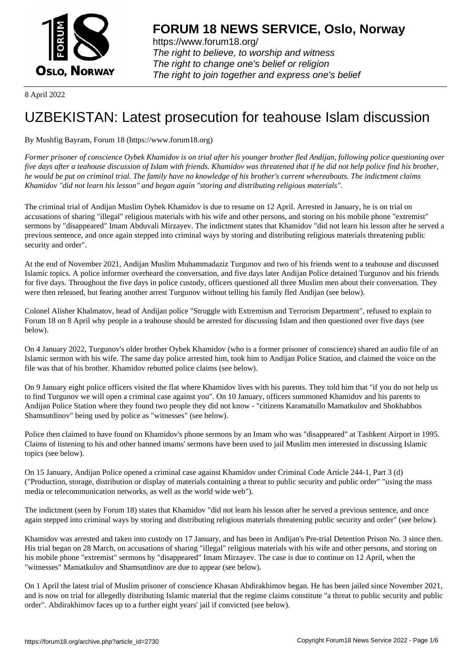

https://www.forum18.org/ The right to believe, to worship and witness The right to change one's belief or religion [The right to join together a](https://www.forum18.org/)nd express one's belief

8 April 2022

## [UZBEKISTAN:](https://www.forum18.org) Latest prosecution for teahouse Islam discussion

## By Mushfig Bayram, Forum 18 (https://www.forum18.org)

*Former prisoner of conscience Oybek Khamidov is on trial after his younger brother fled Andijan, following police questioning over five days after a teahouse discussion of Islam with friends. Khamidov was threatened that if he did not help police find his brother, he would be put on criminal trial. The family have no knowledge of his brother's current whereabouts. The indictment claims Khamidov "did not learn his lesson" and began again "storing and distributing religious materials".*

The criminal trial of Andijan Muslim Oybek Khamidov is due to resume on 12 April. Arrested in January, he is on trial on accusations of sharing "illegal" religious materials with his wife and other persons, and storing on his mobile phone "extremist" sermons by "disappeared" Imam Abduvali Mirzayev. The indictment states that Khamidov "did not learn his lesson after he served a previous sentence, and once again stepped into criminal ways by storing and distributing religious materials threatening public security and order".

At the end of November 2021, Andijan Muslim Muhammadaziz Turgunov and two of his friends went to a teahouse and discussed Islamic topics. A police informer overheard the conversation, and five days later Andijan Police detained Turgunov and his friends for five days. Throughout the five days in police custody, officers questioned all three Muslim men about their conversation. They were then released, but fearing another arrest Turgunov without telling his family fled Andijan (see below).

Colonel Alisher Khalmatov, head of Andijan police "Struggle with Extremism and Terrorism Department", refused to explain to Forum 18 on 8 April why people in a teahouse should be arrested for discussing Islam and then questioned over five days (see below).

On 4 January 2022, Turgunov's older brother Oybek Khamidov (who is a former prisoner of conscience) shared an audio file of an Islamic sermon with his wife. The same day police arrested him, took him to Andijan Police Station, and claimed the voice on the file was that of his brother. Khamidov rebutted police claims (see below).

On 9 January eight police officers visited the flat where Khamidov lives with his parents. They told him that "if you do not help us to find Turgunov we will open a criminal case against you". On 10 January, officers summoned Khamidov and his parents to Andijan Police Station where they found two people they did not know - "citizens Karamatullo Mamatkulov and Shokhabbos Shamsutdinov" being used by police as "witnesses" (see below).

Police then claimed to have found on Khamidov's phone sermons by an Imam who was "disappeared" at Tashkent Airport in 1995. Claims of listening to his and other banned imams' sermons have been used to jail Muslim men interested in discussing Islamic topics (see below).

On 15 January, Andijan Police opened a criminal case against Khamidov under Criminal Code Article 244-1, Part 3 (d) ("Production, storage, distribution or display of materials containing a threat to public security and public order" "using the mass media or telecommunication networks, as well as the world wide web").

The indictment (seen by Forum 18) states that Khamidov "did not learn his lesson after he served a previous sentence, and once again stepped into criminal ways by storing and distributing religious materials threatening public security and order" (see below).

Khamidov was arrested and taken into custody on 17 January, and has been in Andijan's Pre-trial Detention Prison No. 3 since then. His trial began on 28 March, on accusations of sharing "illegal" religious materials with his wife and other persons, and storing on his mobile phone "extremist" sermons by "disappeared" Imam Mirzayev. The case is due to continue on 12 April, when the "witnesses" Mamatkulov and Shamsutdinov are due to appear (see below).

On 1 April the latest trial of Muslim prisoner of conscience Khasan Abdirakhimov began. He has been jailed since November 2021, and is now on trial for allegedly distributing Islamic material that the regime claims constitute "a threat to public security and public order". Abdirakhimov faces up to a further eight years' jail if convicted (see below).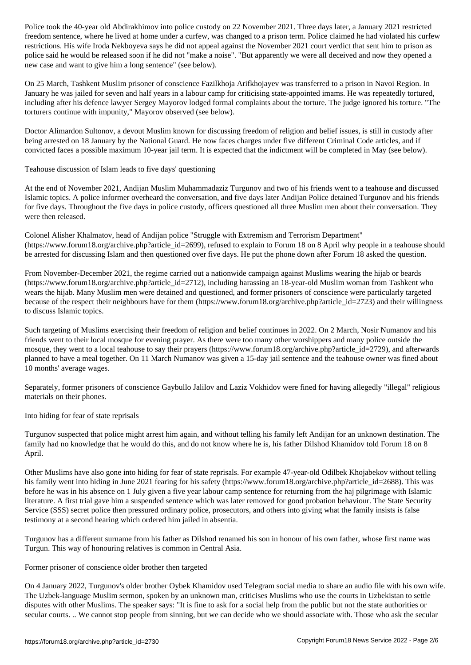freedom sentence, was changed at home under a current  $\mu$  prison term. Points can principal violated his current  $\mu$ restrictions. His wife Iroda Nekboyeva says he did not appeal against the November 2021 court verdict that sent him to prison as police said he would be released soon if he did not "make a noise". "But apparently we were all deceived and now they opened a new case and want to give him a long sentence" (see below).

On 25 March, Tashkent Muslim prisoner of conscience Fazilkhoja Arifkhojayev was transferred to a prison in Navoi Region. In January he was jailed for seven and half years in a labour camp for criticising state-appointed imams. He was repeatedly tortured, including after his defence lawyer Sergey Mayorov lodged formal complaints about the torture. The judge ignored his torture. "The torturers continue with impunity," Mayorov observed (see below).

Doctor Alimardon Sultonov, a devout Muslim known for discussing freedom of religion and belief issues, is still in custody after being arrested on 18 January by the National Guard. He now faces charges under five different Criminal Code articles, and if convicted faces a possible maximum 10-year jail term. It is expected that the indictment will be completed in May (see below).

Teahouse discussion of Islam leads to five days' questioning

At the end of November 2021, Andijan Muslim Muhammadaziz Turgunov and two of his friends went to a teahouse and discussed Islamic topics. A police informer overheard the conversation, and five days later Andijan Police detained Turgunov and his friends for five days. Throughout the five days in police custody, officers questioned all three Muslim men about their conversation. They were then released.

Colonel Alisher Khalmatov, head of Andijan police "Struggle with Extremism and Terrorism Department" (https://www.forum18.org/archive.php?article\_id=2699), refused to explain to Forum 18 on 8 April why people in a teahouse should be arrested for discussing Islam and then questioned over five days. He put the phone down after Forum 18 asked the question.

From November-December 2021, the regime carried out a nationwide campaign against Muslims wearing the hijab or beards (https://www.forum18.org/archive.php?article\_id=2712), including harassing an 18-year-old Muslim woman from Tashkent who wears the hijab. Many Muslim men were detained and questioned, and former prisoners of conscience were particularly targeted because of the respect their neighbours have for them (https://www.forum18.org/archive.php?article\_id=2723) and their willingness to discuss Islamic topics.

Such targeting of Muslims exercising their freedom of religion and belief continues in 2022. On 2 March, Nosir Numanov and his friends went to their local mosque for evening prayer. As there were too many other worshippers and many police outside the mosque, they went to a local teahouse to say their prayers (https://www.forum18.org/archive.php?article\_id=2729), and afterwards planned to have a meal together. On 11 March Numanov was given a 15-day jail sentence and the teahouse owner was fined about 10 months' average wages.

Separately, former prisoners of conscience Gaybullo Jalilov and Laziz Vokhidov were fined for having allegedly "illegal" religious materials on their phones.

Into hiding for fear of state reprisals

Turgunov suspected that police might arrest him again, and without telling his family left Andijan for an unknown destination. The family had no knowledge that he would do this, and do not know where he is, his father Dilshod Khamidov told Forum 18 on 8 April.

Other Muslims have also gone into hiding for fear of state reprisals. For example 47-year-old Odilbek Khojabekov without telling his family went into hiding in June 2021 fearing for his safety (https://www.forum18.org/archive.php?article\_id=2688). This was before he was in his absence on 1 July given a five year labour camp sentence for returning from the haj pilgrimage with Islamic literature. A first trial gave him a suspended sentence which was later removed for good probation behaviour. The State Security Service (SSS) secret police then pressured ordinary police, prosecutors, and others into giving what the family insists is false testimony at a second hearing which ordered him jailed in absentia.

Turgunov has a different surname from his father as Dilshod renamed his son in honour of his own father, whose first name was Turgun. This way of honouring relatives is common in Central Asia.

Former prisoner of conscience older brother then targeted

On 4 January 2022, Turgunov's older brother Oybek Khamidov used Telegram social media to share an audio file with his own wife. The Uzbek-language Muslim sermon, spoken by an unknown man, criticises Muslims who use the courts in Uzbekistan to settle disputes with other Muslims. The speaker says: "It is fine to ask for a social help from the public but not the state authorities or secular courts. .. We cannot stop people from sinning, but we can decide who we should associate with. Those who ask the secular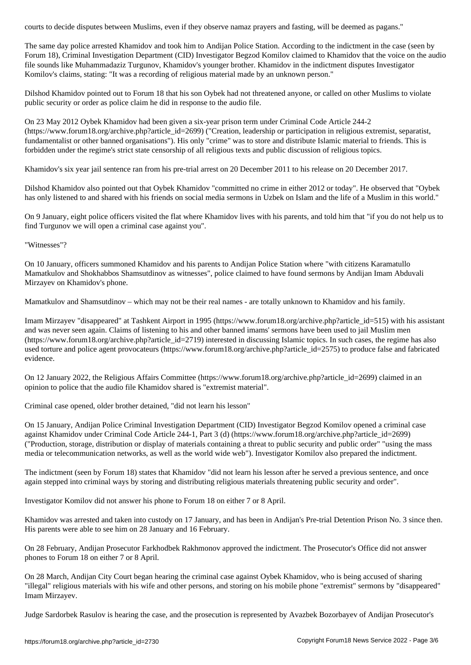The same day police arrested Khamidov and took him to Andijan Police Station. According to the indictment in the case (seen by Forum 18), Criminal Investigation Department (CID) Investigator Begzod Komilov claimed to Khamidov that the voice on the audio file sounds like Muhammadaziz Turgunov, Khamidov's younger brother. Khamidov in the indictment disputes Investigator Komilov's claims, stating: "It was a recording of religious material made by an unknown person."

Dilshod Khamidov pointed out to Forum 18 that his son Oybek had not threatened anyone, or called on other Muslims to violate public security or order as police claim he did in response to the audio file.

On 23 May 2012 Oybek Khamidov had been given a six-year prison term under Criminal Code Article 244-2 (https://www.forum18.org/archive.php?article\_id=2699) ("Creation, leadership or participation in religious extremist, separatist, fundamentalist or other banned organisations"). His only "crime" was to store and distribute Islamic material to friends. This is forbidden under the regime's strict state censorship of all religious texts and public discussion of religious topics.

Khamidov's six year jail sentence ran from his pre-trial arrest on 20 December 2011 to his release on 20 December 2017.

Dilshod Khamidov also pointed out that Oybek Khamidov "committed no crime in either 2012 or today". He observed that "Oybek has only listened to and shared with his friends on social media sermons in Uzbek on Islam and the life of a Muslim in this world."

On 9 January, eight police officers visited the flat where Khamidov lives with his parents, and told him that "if you do not help us to find Turgunov we will open a criminal case against you".

"Witnesses"?

On 10 January, officers summoned Khamidov and his parents to Andijan Police Station where "with citizens Karamatullo Mamatkulov and Shokhabbos Shamsutdinov as witnesses", police claimed to have found sermons by Andijan Imam Abduvali Mirzayev on Khamidov's phone.

Mamatkulov and Shamsutdinov – which may not be their real names - are totally unknown to Khamidov and his family.

Imam Mirzayev "disappeared" at Tashkent Airport in 1995 (https://www.forum18.org/archive.php?article\_id=515) with his assistant and was never seen again. Claims of listening to his and other banned imams' sermons have been used to jail Muslim men (https://www.forum18.org/archive.php?article\_id=2719) interested in discussing Islamic topics. In such cases, the regime has also used torture and police agent provocateurs (https://www.forum18.org/archive.php?article\_id=2575) to produce false and fabricated evidence.

On 12 January 2022, the Religious Affairs Committee (https://www.forum18.org/archive.php?article\_id=2699) claimed in an opinion to police that the audio file Khamidov shared is "extremist material".

Criminal case opened, older brother detained, "did not learn his lesson"

On 15 January, Andijan Police Criminal Investigation Department (CID) Investigator Begzod Komilov opened a criminal case against Khamidov under Criminal Code Article 244-1, Part 3 (d) (https://www.forum18.org/archive.php?article\_id=2699) ("Production, storage, distribution or display of materials containing a threat to public security and public order" "using the mass media or telecommunication networks, as well as the world wide web"). Investigator Komilov also prepared the indictment.

The indictment (seen by Forum 18) states that Khamidov "did not learn his lesson after he served a previous sentence, and once again stepped into criminal ways by storing and distributing religious materials threatening public security and order".

Investigator Komilov did not answer his phone to Forum 18 on either 7 or 8 April.

Khamidov was arrested and taken into custody on 17 January, and has been in Andijan's Pre-trial Detention Prison No. 3 since then. His parents were able to see him on 28 January and 16 February.

On 28 February, Andijan Prosecutor Farkhodbek Rakhmonov approved the indictment. The Prosecutor's Office did not answer phones to Forum 18 on either 7 or 8 April.

On 28 March, Andijan City Court began hearing the criminal case against Oybek Khamidov, who is being accused of sharing "illegal" religious materials with his wife and other persons, and storing on his mobile phone "extremist" sermons by "disappeared" Imam Mirzayev.

Judge Sardorbek Rasulov is hearing the case, and the prosecution is represented by Avazbek Bozorbayev of Andijan Prosecutor's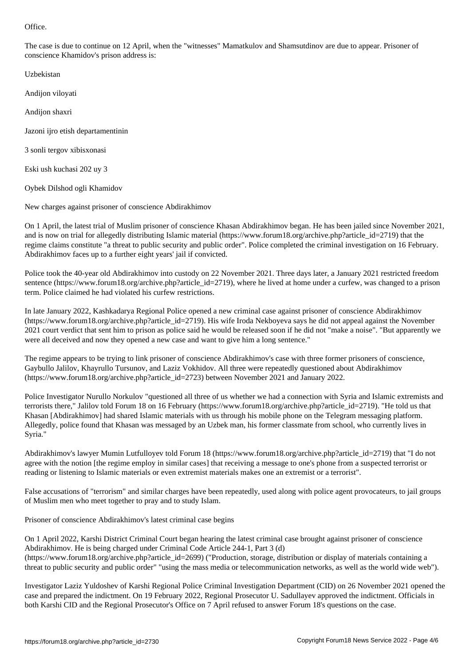The case is due to continue on 12 April, when the "witnesses" Mamatkulov and Shamsutdinov are due to appear. Prisoner of conscience Khamidov's prison address is:

Uzbekistan

Andijon viloyati

Andijon shaxri

Jazoni ijro etish departamentinin

3 sonli tergov xibisxonasi

Eski ush kuchasi 202 uy 3

Oybek Dilshod ogli Khamidov

New charges against prisoner of conscience Abdirakhimov

On 1 April, the latest trial of Muslim prisoner of conscience Khasan Abdirakhimov began. He has been jailed since November 2021, and is now on trial for allegedly distributing Islamic material (https://www.forum18.org/archive.php?article\_id=2719) that the regime claims constitute "a threat to public security and public order". Police completed the criminal investigation on 16 February. Abdirakhimov faces up to a further eight years' jail if convicted.

Police took the 40-year old Abdirakhimov into custody on 22 November 2021. Three days later, a January 2021 restricted freedom sentence (https://www.forum18.org/archive.php?article\_id=2719), where he lived at home under a curfew, was changed to a prison term. Police claimed he had violated his curfew restrictions.

In late January 2022, Kashkadarya Regional Police opened a new criminal case against prisoner of conscience Abdirakhimov (https://www.forum18.org/archive.php?article\_id=2719). His wife Iroda Nekboyeva says he did not appeal against the November 2021 court verdict that sent him to prison as police said he would be released soon if he did not "make a noise". "But apparently we were all deceived and now they opened a new case and want to give him a long sentence."

The regime appears to be trying to link prisoner of conscience Abdirakhimov's case with three former prisoners of conscience, Gaybullo Jalilov, Khayrullo Tursunov, and Laziz Vokhidov. All three were repeatedly questioned about Abdirakhimov (https://www.forum18.org/archive.php?article\_id=2723) between November 2021 and January 2022.

Police Investigator Nurullo Norkulov "questioned all three of us whether we had a connection with Syria and Islamic extremists and terrorists there," Jalilov told Forum 18 on 16 February (https://www.forum18.org/archive.php?article\_id=2719). "He told us that Khasan [Abdirakhimov] had shared Islamic materials with us through his mobile phone on the Telegram messaging platform. Allegedly, police found that Khasan was messaged by an Uzbek man, his former classmate from school, who currently lives in Syria."

Abdirakhimov's lawyer Mumin Lutfulloyev told Forum 18 (https://www.forum18.org/archive.php?article\_id=2719) that "I do not agree with the notion [the regime employ in similar cases] that receiving a message to one's phone from a suspected terrorist or reading or listening to Islamic materials or even extremist materials makes one an extremist or a terrorist".

False accusations of "terrorism" and similar charges have been repeatedly, used along with police agent provocateurs, to jail groups of Muslim men who meet together to pray and to study Islam.

Prisoner of conscience Abdirakhimov's latest criminal case begins

On 1 April 2022, Karshi District Criminal Court began hearing the latest criminal case brought against prisoner of conscience Abdirakhimov. He is being charged under Criminal Code Article 244-1, Part 3 (d) (https://www.forum18.org/archive.php?article\_id=2699) ("Production, storage, distribution or display of materials containing a threat to public security and public order" "using the mass media or telecommunication networks, as well as the world wide web").

Investigator Laziz Yuldoshev of Karshi Regional Police Criminal Investigation Department (CID) on 26 November 2021 opened the case and prepared the indictment. On 19 February 2022, Regional Prosecutor U. Sadullayev approved the indictment. Officials in both Karshi CID and the Regional Prosecutor's Office on 7 April refused to answer Forum 18's questions on the case.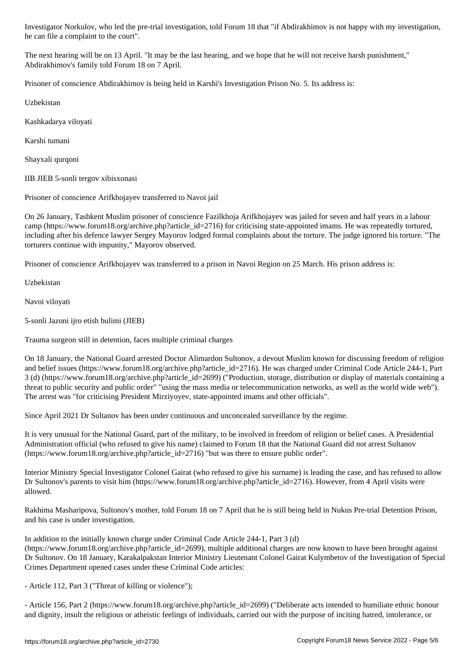The next hearing will be on 13 April. "It may be the last hearing, and we hope that he will not receive harsh punishment," Abdirakhimov's family told Forum 18 on 7 April.

Prisoner of conscience Abdirakhimov is being held in Karshi's Investigation Prison No. 5. Its address is:

Uzbekistan

Kashkadarya viloyati

Karshi tumani

Shayxali qurqoni

IIB JIEB 5-sonli tergov xibisxonasi

he can file a complete a complete a complete a complete a complete a complete a court of the court of the court

Prisoner of conscience Arifkhojayev transferred to Navoi jail

On 26 January, Tashkent Muslim prisoner of conscience Fazilkhoja Arifkhojayev was jailed for seven and half years in a labour camp (https://www.forum18.org/archive.php?article\_id=2716) for criticising state-appointed imams. He was repeatedly tortured, including after his defence lawyer Sergey Mayorov lodged formal complaints about the torture. The judge ignored his torture. "The torturers continue with impunity," Mayorov observed.

Prisoner of conscience Arifkhojayev was transferred to a prison in Navoi Region on 25 March. His prison address is:

Uzbekistan

Navoi viloyati

5-sonli Jazoni ijro etish bulimi (JIEB)

Trauma surgeon still in detention, faces multiple criminal charges

On 18 January, the National Guard arrested Doctor Alimardon Sultonov, a devout Muslim known for discussing freedom of religion and belief issues (https://www.forum18.org/archive.php?article\_id=2716). He was charged under Criminal Code Article 244-1, Part 3 (d) (https://www.forum18.org/archive.php?article\_id=2699) ("Production, storage, distribution or display of materials containing a threat to public security and public order" "using the mass media or telecommunication networks, as well as the world wide web"). The arrest was "for criticising President Mirziyoyev, state-appointed imams and other officials".

Since April 2021 Dr Sultanov has been under continuous and unconcealed surveillance by the regime.

It is very unusual for the National Guard, part of the military, to be involved in freedom of religion or belief cases. A Presidential Administration official (who refused to give his name) claimed to Forum 18 that the National Guard did not arrest Sultanov (https://www.forum18.org/archive.php?article\_id=2716) "but was there to ensure public order".

Interior Ministry Special Investigator Colonel Gairat (who refused to give his surname) is leading the case, and has refused to allow Dr Sultonov's parents to visit him (https://www.forum18.org/archive.php?article\_id=2716). However, from 4 April visits were allowed.

Rakhima Masharipova, Sultonov's mother, told Forum 18 on 7 April that he is still being held in Nukus Pre-trial Detention Prison, and his case is under investigation.

In addition to the initially known charge under Criminal Code Article 244-1, Part 3 (d)

(https://www.forum18.org/archive.php?article\_id=2699), multiple additional charges are now known to have been brought against Dr Sultonov. On 18 January, Karakalpakstan Interior Ministry Lieutenant Colonel Gairat Kulymbetov of the Investigation of Special Crimes Department opened cases under these Criminal Code articles:

- Article 112, Part 3 ("Threat of killing or violence");

- Article 156, Part 2 (https://www.forum18.org/archive.php?article\_id=2699) ("Deliberate acts intended to humiliate ethnic honour and dignity, insult the religious or atheistic feelings of individuals, carried out with the purpose of inciting hatred, intolerance, or